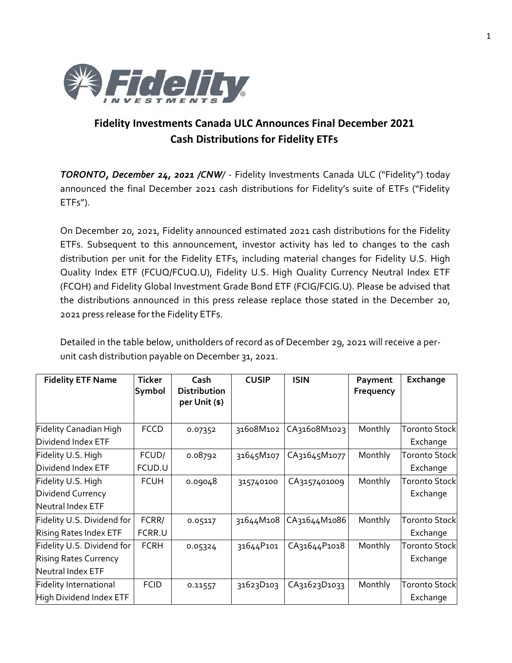

## **Fidelity Investments Canada ULC Announces Final December 2021 Cash Distributions for Fidelity ETFs**

*TORONTO, December 24, 2021 /CNW/* - Fidelity Investments Canada ULC ("Fidelity") today announced the final December 2021 cash distributions for Fidelity's suite of ETFs ("Fidelity ETFs").

On December 20, 2021, Fidelity announced estimated 2021 cash distributions for the Fidelity ETFs. Subsequent to this announcement, investor activity has led to changes to the cash distribution per unit for the Fidelity ETFs, including material changes for Fidelity U.S. High Quality Index ETF (FCUQ/FCUQ.U), Fidelity U.S. High Quality Currency Neutral Index ETF (FCQH) and Fidelity Global Investment Grade Bond ETF (FCIG/FCIG.U). Please be advised that the distributions announced in this press release replace those stated in the December 20, 2021 press release for the Fidelity ETFs.

Detailed in the table below, unitholders of record as of December 29, 2021 will receive a perunit cash distribution payable on December 31, 2021.

| <b>Fidelity ETF Name</b>      | <b>Ticker</b><br>Symbol | Cash<br><b>Distribution</b><br>per Unit (\$) | <b>CUSIP</b> | <b>ISIN</b>  | Payment<br>Frequency | Exchange             |
|-------------------------------|-------------------------|----------------------------------------------|--------------|--------------|----------------------|----------------------|
| Fidelity Canadian High        | <b>FCCD</b>             | 0.07352                                      | 31608M102    | CA31608M1023 | Monthly              | <b>Toronto Stock</b> |
| Dividend Index ETF            |                         |                                              |              |              |                      | Exchange             |
| Fidelity U.S. High            | FCUD/                   | 0.08792                                      | 31645M107    | CA31645M1077 | Monthly              | <b>Toronto Stock</b> |
| Dividend Index ETF            | FCUD.U                  |                                              |              |              |                      | Exchange             |
| Fidelity U.S. High            | <b>FCUH</b>             | 0.09048                                      | 315740100    | CA3157401009 | Monthly              | <b>Toronto Stock</b> |
| Dividend Currency             |                         |                                              |              |              |                      | Exchange             |
| Neutral Index ETF             |                         |                                              |              |              |                      |                      |
| Fidelity U.S. Dividend for    | FCRR/                   | 0.05117                                      | 31644M108    | CA31644M1086 | Monthly              | <b>Toronto Stock</b> |
| Rising Rates Index ETF        | FCRR.U                  |                                              |              |              |                      | Exchange             |
| Fidelity U.S. Dividend for    | <b>FCRH</b>             | 0.05324                                      | 31644P101    | CA31644P1018 | Monthly              | <b>Toronto Stock</b> |
| <b>Rising Rates Currency</b>  |                         |                                              |              |              |                      | Exchange             |
| Neutral Index ETF             |                         |                                              |              |              |                      |                      |
| <b>Fidelity International</b> | <b>FCID</b>             | 0.11557                                      | 31623D103    | CA31623D1033 | Monthly              | <b>Toronto Stock</b> |
| High Dividend Index ETF       |                         |                                              |              |              |                      | Exchange             |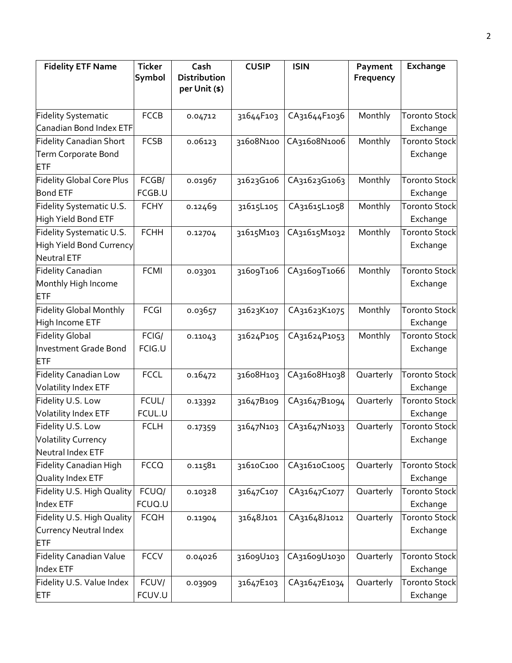| <b>Fidelity ETF Name</b>         | <b>Ticker</b> | Cash                          | <b>CUSIP</b> | <b>ISIN</b>  | Payment   | Exchange             |
|----------------------------------|---------------|-------------------------------|--------------|--------------|-----------|----------------------|
|                                  | Symbol        | Distribution<br>per Unit (\$) |              |              | Frequency |                      |
|                                  |               |                               |              |              |           |                      |
| <b>Fidelity Systematic</b>       | <b>FCCB</b>   | 0.04712                       | 31644F103    | CA31644F1036 | Monthly   | <b>Toronto Stock</b> |
| Canadian Bond Index ETF          |               |                               |              |              |           | Exchange             |
| Fidelity Canadian Short          | <b>FCSB</b>   | 0.06123                       | 31608N100    | CA31608N1006 | Monthly   | <b>Toronto Stock</b> |
| Term Corporate Bond              |               |                               |              |              |           | Exchange             |
| <b>ETF</b>                       |               |                               |              |              |           |                      |
| <b>Fidelity Global Core Plus</b> | FCGB/         | 0.01967                       | 31623G106    | CA31623G1063 | Monthly   | <b>Toronto Stock</b> |
| <b>Bond ETF</b>                  | FCGB.U        |                               |              |              |           | Exchange             |
| Fidelity Systematic U.S.         | <b>FCHY</b>   | 0.12469                       | 31615L105    | CA31615L1058 | Monthly   | <b>Toronto Stock</b> |
| High Yield Bond ETF              |               |                               |              |              |           | Exchange             |
| Fidelity Systematic U.S.         | <b>FCHH</b>   | 0.12704                       | 31615M103    | CA31615M1032 | Monthly   | <b>Toronto Stock</b> |
| High Yield Bond Currency         |               |                               |              |              |           | Exchange             |
| Neutral ETF                      |               |                               |              |              |           |                      |
| <b>Fidelity Canadian</b>         | <b>FCMI</b>   | 0.03301                       | 31609T106    | CA31609T1066 | Monthly   | <b>Toronto Stock</b> |
| Monthly High Income              |               |                               |              |              |           | Exchange             |
| <b>ETF</b>                       |               |                               |              |              |           |                      |
| <b>Fidelity Global Monthly</b>   | <b>FCGI</b>   | 0.03657                       | 31623K107    | CA31623K1075 | Monthly   | <b>Toronto Stock</b> |
| High Income ETF                  |               |                               |              |              |           | Exchange             |
| <b>Fidelity Global</b>           | FCIG/         | 0.11043                       | 31624P105    | CA31624P1053 | Monthly   | <b>Toronto Stock</b> |
| Investment Grade Bond            | FCIG.U        |                               |              |              |           | Exchange             |
| <b>ETF</b>                       |               |                               |              |              |           |                      |
| <b>Fidelity Canadian Low</b>     | <b>FCCL</b>   | 0.16472                       | 31608H103    | CA31608H1038 | Quarterly | <b>Toronto Stock</b> |
| <b>Volatility Index ETF</b>      |               |                               |              |              |           | Exchange             |
| Fidelity U.S. Low                | FCUL/         | 0.13392                       | 31647B109    | CA31647B1094 | Quarterly | <b>Toronto Stock</b> |
| Volatility Index ETF             | FCUL.U        |                               |              |              |           | Exchange             |
| Fidelity U.S. Low                | <b>FCLH</b>   | 0.17359                       | 31647N103    | CA31647N1033 | Quarterly | <b>Toronto Stock</b> |
| <b>Volatility Currency</b>       |               |                               |              |              |           | Exchange             |
| Neutral Index ETF                |               |                               |              |              |           |                      |
| <b>Fidelity Canadian High</b>    | <b>FCCQ</b>   | 0.11581                       | 31610C100    | CA31610C1005 | Quarterly | <b>Toronto Stock</b> |
| Quality Index ETF                |               |                               |              |              |           | Exchange             |
| Fidelity U.S. High Quality       | FCUQ/         | 0.10328                       | 31647C107    | CA31647C1077 | Quarterly | <b>Toronto Stock</b> |
| Index ETF                        | FCUQ.U        |                               |              |              |           | Exchange             |
| Fidelity U.S. High Quality       | <b>FCQH</b>   | 0.11904                       | 31648J101    | CA31648J1012 | Quarterly | <b>Toronto Stock</b> |
| Currency Neutral Index           |               |                               |              |              |           | Exchange             |
| ETF                              |               |                               |              |              |           |                      |
| <b>Fidelity Canadian Value</b>   | <b>FCCV</b>   | 0.04026                       | 31609U103    | CA31609U1030 | Quarterly | <b>Toronto Stock</b> |
| Index ETF                        |               |                               |              |              |           | Exchange             |
| Fidelity U.S. Value Index        | FCUV/         | 0.03909                       | 31647E103    | CA31647E1034 | Quarterly | <b>Toronto Stock</b> |
| <b>ETF</b>                       | FCUV.U        |                               |              |              |           | Exchange             |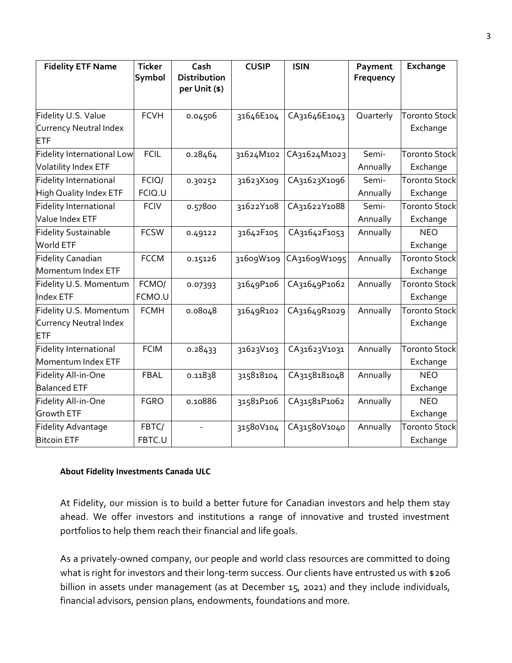| <b>Fidelity ETF Name</b>      | <b>Ticker</b> | Cash                          | <b>CUSIP</b> | <b>ISIN</b>  | Payment   | Exchange             |
|-------------------------------|---------------|-------------------------------|--------------|--------------|-----------|----------------------|
|                               | Symbol        | Distribution<br>per Unit (\$) |              |              | Frequency |                      |
|                               |               |                               |              |              |           |                      |
| Fidelity U.S. Value           | <b>FCVH</b>   | 0.04506                       | 31646E104    | CA31646E1043 | Quarterly | <b>Toronto Stock</b> |
| Currency Neutral Index        |               |                               |              |              |           | Exchange             |
| ETF                           |               |                               |              |              |           |                      |
| Fidelity International Low    | <b>FCIL</b>   | 0.28464                       | 31624M102    | CA31624M1023 | Semi-     | <b>Toronto Stock</b> |
| Volatility Index ETF          |               |                               |              |              | Annually  | Exchange             |
| <b>Fidelity International</b> | FCIQ/         | 0.30252                       | 31623X109    | CA31623X1096 | Semi-     | <b>Toronto Stock</b> |
| <b>High Quality Index ETF</b> | FCIQ.U        |                               |              |              | Annually  | Exchange             |
| Fidelity International        | <b>FCIV</b>   | 0.57800                       | 31622Y108    | CA31622Y1088 | Semi-     | <b>Toronto Stock</b> |
| Value Index ETF               |               |                               |              |              | Annually  | Exchange             |
| <b>Fidelity Sustainable</b>   | <b>FCSW</b>   | 0.49122                       | 31642F105    | CA31642F1053 | Annually  | <b>NEO</b>           |
| World ETF                     |               |                               |              |              |           | Exchange             |
| <b>Fidelity Canadian</b>      | <b>FCCM</b>   | 0.15126                       | 31609W109    | CA31609W1095 | Annually  | <b>Toronto Stock</b> |
| Momentum Index ETF            |               |                               |              |              |           | Exchange             |
| Fidelity U.S. Momentum        | FCMO/         | 0.07393                       | 31649P106    | CA31649P1062 | Annually  | <b>Toronto Stock</b> |
| Index ETF                     | FCMO.U        |                               |              |              |           | Exchange             |
| Fidelity U.S. Momentum        | <b>FCMH</b>   | 0.08048                       | 31649R102    | CA31649R1029 | Annually  | <b>Toronto Stock</b> |
| Currency Neutral Index        |               |                               |              |              |           | Exchange             |
| ETF                           |               |                               |              |              |           |                      |
| <b>Fidelity International</b> | <b>FCIM</b>   | 0.28433                       | 31623V103    | CA31623V1031 | Annually  | <b>Toronto Stock</b> |
| Momentum Index ETF            |               |                               |              |              |           | Exchange             |
| Fidelity All-in-One           | <b>FBAL</b>   | 0.11838                       | 315818104    | CA3158181048 | Annually  | <b>NEO</b>           |
| <b>Balanced ETF</b>           |               |                               |              |              |           | Exchange             |
| Fidelity All-in-One           | <b>FGRO</b>   | 0.10886                       | 31581P106    | CA31581P1062 | Annually  | <b>NEO</b>           |
| <b>Growth ETF</b>             |               |                               |              |              |           | Exchange             |
| <b>Fidelity Advantage</b>     | FBTC/         |                               | 31580V104    | CA31580V1040 | Annually  | <b>Toronto Stock</b> |
| <b>Bitcoin ETF</b>            | FBTC.U        |                               |              |              |           | Exchange             |

## **About Fidelity Investments Canada ULC**

At Fidelity, our mission is to build a better future for Canadian investors and help them stay ahead. We offer investors and institutions a range of innovative and trusted investment portfolios to help them reach their financial and life goals.

As a privately-owned company, our people and world class resources are committed to doing what is right for investors and their long-term success. Our clients have entrusted us with \$206 billion in assets under management (as at December 15, 2021) and they include individuals, financial advisors, pension plans, endowments, foundations and more.